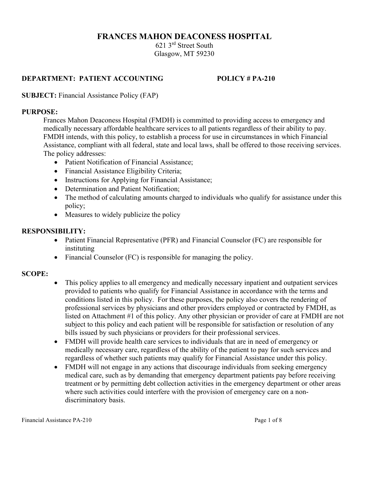## **FRANCES MAHON DEACONESS HOSPITAL**

621 3rd Street South Glasgow, MT 59230

#### **DEPARTMENT: PATIENT ACCOUNTING POLICY # PA-210**

**SUBJECT:** Financial Assistance Policy (FAP)

#### **PURPOSE:**

Frances Mahon Deaconess Hospital (FMDH) is committed to providing access to emergency and medically necessary affordable healthcare services to all patients regardless of their ability to pay. FMDH intends, with this policy, to establish a process for use in circumstances in which Financial Assistance, compliant with all federal, state and local laws, shall be offered to those receiving services. The policy addresses:

- Patient Notification of Financial Assistance;
- Financial Assistance Eligibility Criteria;
- Instructions for Applying for Financial Assistance;
- Determination and Patient Notification;
- The method of calculating amounts charged to individuals who qualify for assistance under this policy;
- Measures to widely publicize the policy

#### **RESPONSIBILITY:**

- Patient Financial Representative (PFR) and Financial Counselor (FC) are responsible for instituting
- Financial Counselor (FC) is responsible for managing the policy.

#### **SCOPE:**

- This policy applies to all emergency and medically necessary inpatient and outpatient services provided to patients who qualify for Financial Assistance in accordance with the terms and conditions listed in this policy. For these purposes, the policy also covers the rendering of professional services by physicians and other providers employed or contracted by FMDH, as listed on Attachment #1 of this policy. Any other physician or provider of care at FMDH are not subject to this policy and each patient will be responsible for satisfaction or resolution of any bills issued by such physicians or providers for their professional services.
- FMDH will provide health care services to individuals that are in need of emergency or medically necessary care, regardless of the ability of the patient to pay for such services and regardless of whether such patients may qualify for Financial Assistance under this policy.
- FMDH will not engage in any actions that discourage individuals from seeking emergency medical care, such as by demanding that emergency department patients pay before receiving treatment or by permitting debt collection activities in the emergency department or other areas where such activities could interfere with the provision of emergency care on a nondiscriminatory basis.

Financial Assistance PA-210 **Page 1 of 8** Page 1 of 8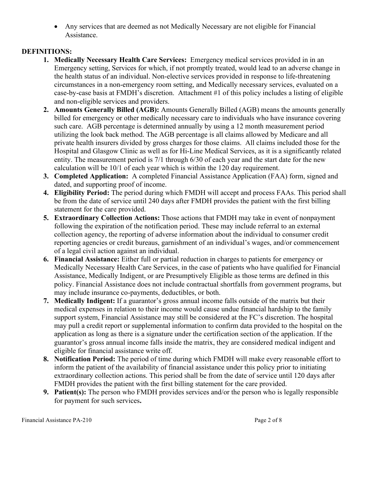• Any services that are deemed as not Medically Necessary are not eligible for Financial Assistance.

## **DEFINITIONS:**

- **1. Medically Necessary Health Care Services:** Emergency medical services provided in in an Emergency setting, Services for which, if not promptly treated, would lead to an adverse change in the health status of an individual. Non-elective services provided in response to life-threatening circumstances in a non-emergency room setting, and Medically necessary services, evaluated on a case-by-case basis at FMDH's discretion. Attachment #1 of this policy includes a listing of eligible and non-eligible services and providers.
- **2. Amounts Generally Billed (AGB):** Amounts Generally Billed (AGB) means the amounts generally billed for emergency or other medically necessary care to individuals who have insurance covering such care. AGB percentage is determined annually by using a 12 month measurement period utilizing the look back method. The AGB percentage is all claims allowed by Medicare and all private health insurers divided by gross charges for those claims. All claims included those for the Hospital and Glasgow Clinic as well as for Hi-Line Medical Services, as it is a significantly related entity. The measurement period is 7/1 through 6/30 of each year and the start date for the new calculation will be 10/1 of each year which is within the 120 day requirement.
- **3. Completed Application:** A completed Financial Assistance Application (FAA) form, signed and dated, and supporting proof of income.
- **4. Eligibility Period:** The period during which FMDH will accept and process FAAs. This period shall be from the date of service until 240 days after FMDH provides the patient with the first billing statement for the care provided.
- **5. Extraordinary Collection Actions:** Those actions that FMDH may take in event of nonpayment following the expiration of the notification period. These may include referral to an external collection agency, the reporting of adverse information about the individual to consumer credit reporting agencies or credit bureaus, garnishment of an individual's wages, and/or commencement of a legal civil action against an individual.
- **6. Financial Assistance:** Either full or partial reduction in charges to patients for emergency or Medically Necessary Health Care Services, in the case of patients who have qualified for Financial Assistance, Medically Indigent, or are Presumptively Eligible as those terms are defined in this policy. Financial Assistance does not include contractual shortfalls from government programs, but may include insurance co-payments, deductibles, or both.
- **7. Medically Indigent:** If a guarantor's gross annual income falls outside of the matrix but their medical expenses in relation to their income would cause undue financial hardship to the family support system, Financial Assistance may still be considered at the FC's discretion. The hospital may pull a credit report or supplemental information to confirm data provided to the hospital on the application as long as there is a signature under the certification section of the application. If the guarantor's gross annual income falls inside the matrix, they are considered medical indigent and eligible for financial assistance write off.
- **8. Notification Period:** The period of time during which FMDH will make every reasonable effort to inform the patient of the availability of financial assistance under this policy prior to initiating extraordinary collection actions. This period shall be from the date of service until 120 days after FMDH provides the patient with the first billing statement for the care provided.
- **9. Patient(s):** The person who FMDH provides services and/or the person who is legally responsible for payment for such services**.**

Financial Assistance PA-210 Page 2 of 8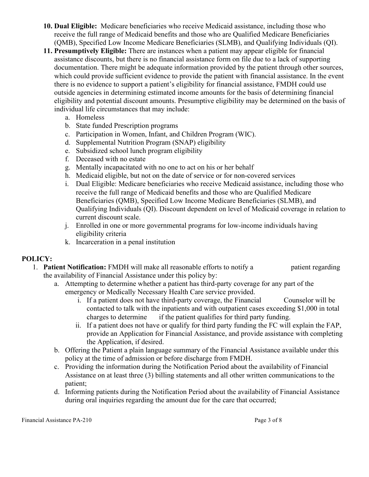- **10. Dual Eligible:** Medicare beneficiaries who receive Medicaid assistance, including those who receive the full range of Medicaid benefits and those who are Qualified Medicare Beneficiaries (QMB), Specified Low Income Medicare Beneficiaries (SLMB), and Qualifying Individuals (QI).
- **11. Presumptively Eligible:** There are instances when a patient may appear eligible for financial assistance discounts, but there is no financial assistance form on file due to a lack of supporting documentation. There might be adequate information provided by the patient through other sources, which could provide sufficient evidence to provide the patient with financial assistance. In the event there is no evidence to support a patient's eligibility for financial assistance, FMDH could use outside agencies in determining estimated income amounts for the basis of determining financial eligibility and potential discount amounts. Presumptive eligibility may be determined on the basis of individual life circumstances that may include:
	- a. Homeless
	- b. State funded Prescription programs
	- c. Participation in Women, Infant, and Children Program (WIC).
	- d. Supplemental Nutrition Program (SNAP) eligibility
	- e. Subsidized school lunch program eligibility
	- f. Deceased with no estate
	- g. Mentally incapacitated with no one to act on his or her behalf
	- h. Medicaid eligible, but not on the date of service or for non-covered services
	- i. Dual Eligible: Medicare beneficiaries who receive Medicaid assistance, including those who receive the full range of Medicaid benefits and those who are Qualified Medicare Beneficiaries (QMB), Specified Low Income Medicare Beneficiaries (SLMB), and Qualifying Individuals (QI). Discount dependent on level of Medicaid coverage in relation to current discount scale.
	- j. Enrolled in one or more governmental programs for low-income individuals having eligibility criteria
	- k. Incarceration in a penal institution

## **POLICY:**

- 1. **Patient Notification:** FMDH will make all reasonable efforts to notify a patient regarding the availability of Financial Assistance under this policy by:
	- a. Attempting to determine whether a patient has third-party coverage for any part of the emergency or Medically Necessary Health Care service provided.
		- i. If a patient does not have third-party coverage, the Financial Counselor will be contacted to talk with the inpatients and with outpatient cases exceeding \$1,000 in total charges to determine if the patient qualifies for third party funding.
		- ii. If a patient does not have or qualify for third party funding the FC will explain the FAP, provide an Application for Financial Assistance, and provide assistance with completing the Application, if desired.
	- b. Offering the Patient a plain language summary of the Financial Assistance available under this policy at the time of admission or before discharge from FMDH.
	- c. Providing the information during the Notification Period about the availability of Financial Assistance on at least three (3) billing statements and all other written communications to the patient;
	- d. Informing patients during the Notification Period about the availability of Financial Assistance during oral inquiries regarding the amount due for the care that occurred;

Financial Assistance PA-210 Page 3 of 8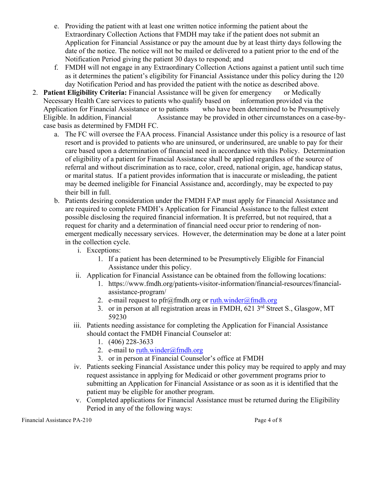- e. Providing the patient with at least one written notice informing the patient about the Extraordinary Collection Actions that FMDH may take if the patient does not submit an Application for Financial Assistance or pay the amount due by at least thirty days following the date of the notice. The notice will not be mailed or delivered to a patient prior to the end of the Notification Period giving the patient 30 days to respond; and
- f. FMDH will not engage in any Extraordinary Collection Actions against a patient until such time as it determines the patient's eligibility for Financial Assistance under this policy during the 120 day Notification Period and has provided the patient with the notice as described above.
- 2. **Patient Eligibility Criteria:** Financial Assistance will be given for emergency or Medically Necessary Health Care services to patients who qualify based on information provided via the Application for Financial Assistance or to patients who have been determined to be Presumptively Eligible. In addition, Financial Assistance may be provided in other circumstances on a case-bycase basis as determined by FMDH FC.
	- a. The FC will oversee the FAA process. Financial Assistance under this policy is a resource of last resort and is provided to patients who are uninsured, or underinsured, are unable to pay for their care based upon a determination of financial need in accordance with this Policy. Determination of eligibility of a patient for Financial Assistance shall be applied regardless of the source of referral and without discrimination as to race, color, creed, national origin, age, handicap status, or marital status. If a patient provides information that is inaccurate or misleading, the patient may be deemed ineligible for Financial Assistance and, accordingly, may be expected to pay their bill in full.
	- b. Patients desiring consideration under the FMDH FAP must apply for Financial Assistance and are required to complete FMDH's Application for Financial Assistance to the fullest extent possible disclosing the required financial information. It is preferred, but not required, that a request for charity and a determination of financial need occur prior to rendering of nonemergent medically necessary services. However, the determination may be done at a later point in the collection cycle.
		- i. Exceptions:
			- 1. If a patient has been determined to be Presumptively Eligible for Financial Assistance under this policy.
		- ii. Application for Financial Assistance can be obtained from the following locations:
			- 1. https://www.fmdh.org/patients-visitor-information/financial-resources/financialassistance-program/
			- 2. e-mail request to pfr@fmdh.org or [ruth.winder@fmdh.org](mailto:ruth.winder@fmdh.org)
			- 3. or in person at all registration areas in FMDH, 621 3rd Street S., Glasgow, MT 59230
		- iii. Patients needing assistance for completing the Application for Financial Assistance should contact the FMDH Financial Counselor at:
			- 1. (406) 228-3633
			- 2. e-mail to [ruth.winder@fmdh.org](mailto:ruth.winder@fmdh.org)
			- 3. or in person at Financial Counselor's office at FMDH
		- iv. Patients seeking Financial Assistance under this policy may be required to apply and may request assistance in applying for Medicaid or other government programs prior to submitting an Application for Financial Assistance or as soon as it is identified that the patient may be eligible for another program.
		- v. Completed applications for Financial Assistance must be returned during the Eligibility Period in any of the following ways:

Financial Assistance PA-210 Page 4 of 8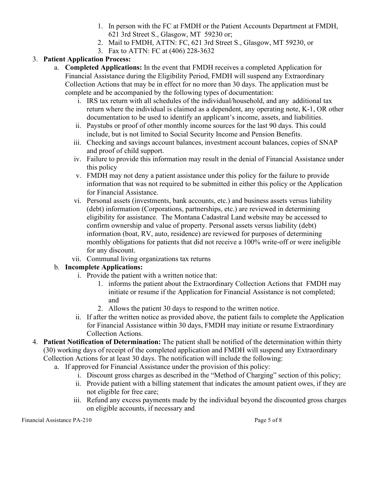- 1. In person with the FC at FMDH or the Patient Accounts Department at FMDH, 621 3rd Street S., Glasgow, MT 59230 or;
- 2. Mail to FMDH, ATTN: FC, 621 3rd Street S., Glasgow, MT 59230, or
- 3. Fax to ATTN: FC at (406) 228-3632

## 3. **Patient Application Process:**

- a. **Completed Applications:** In the event that FMDH receives a completed Application for Financial Assistance during the Eligibility Period, FMDH will suspend any Extraordinary Collection Actions that may be in effect for no more than 30 days. The application must be complete and be accompanied by the following types of documentation:
	- i. IRS tax return with all schedules of the individual/household, and any additional tax return where the individual is claimed as a dependent, any operating note, K-1, OR other documentation to be used to identify an applicant's income, assets, and liabilities.
	- ii. Paystubs or proof of other monthly income sources for the last 90 days. This could include, but is not limited to Social Security Income and Pension Benefits.
	- iii. Checking and savings account balances, investment account balances, copies of SNAP and proof of child support.
	- iv. Failure to provide this information may result in the denial of Financial Assistance under this policy
	- v. FMDH may not deny a patient assistance under this policy for the failure to provide information that was not required to be submitted in either this policy or the Application for Financial Assistance.
	- vi. Personal assets (investments, bank accounts, etc.) and business assets versus liability (debt) information (Corporations, partnerships, etc.) are reviewed in determining eligibility for assistance. The Montana Cadastral Land website may be accessed to confirm ownership and value of property. Personal assets versus liability (debt) information (boat, RV, auto, residence) are reviewed for purposes of determining monthly obligations for patients that did not receive a 100% write-off or were ineligible for any discount.
	- vii. Communal living organizations tax returns

## b. **Incomplete Applications:**

- i. Provide the patient with a written notice that:
	- 1. informs the patient about the Extraordinary Collection Actions that FMDH may initiate or resume if the Application for Financial Assistance is not completed; and
	- 2. Allows the patient 30 days to respond to the written notice.
- ii. If after the written notice as provided above, the patient fails to complete the Application for Financial Assistance within 30 days, FMDH may initiate or resume Extraordinary Collection Actions.
- 4. **Patient Notification of Determination:** The patient shall be notified of the determination within thirty (30) working days of receipt of the completed application and FMDH will suspend any Extraordinary Collection Actions for at least 30 days. The notification will include the following:
	- a. If approved for Financial Assistance under the provision of this policy:
		- i. Discount gross charges as described in the "Method of Charging" section of this policy;
		- ii. Provide patient with a billing statement that indicates the amount patient owes, if they are not eligible for free care;
		- iii. Refund any excess payments made by the individual beyond the discounted gross charges on eligible accounts, if necessary and

Financial Assistance PA-210 Page 5 of 8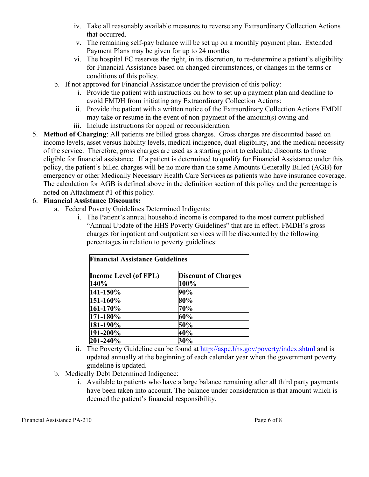- iv. Take all reasonably available measures to reverse any Extraordinary Collection Actions that occurred.
- v. The remaining self-pay balance will be set up on a monthly payment plan. Extended Payment Plans may be given for up to 24 months.
- vi. The hospital FC reserves the right, in its discretion, to re-determine a patient's eligibility for Financial Assistance based on changed circumstances, or changes in the terms or conditions of this policy.
- b. If not approved for Financial Assistance under the provision of this policy:
	- i. Provide the patient with instructions on how to set up a payment plan and deadline to avoid FMDH from initiating any Extraordinary Collection Actions;
	- ii. Provide the patient with a written notice of the Extraordinary Collection Actions FMDH may take or resume in the event of non-payment of the amount(s) owing and
	- iii. Include instructions for appeal or reconsideration.
- 5. **Method of Charging**: All patients are billed gross charges. Gross charges are discounted based on income levels, asset versus liability levels, medical indigence, dual eligibility, and the medical necessity of the service. Therefore, gross charges are used as a starting point to calculate discounts to those eligible for financial assistance. If a patient is determined to qualify for Financial Assistance under this policy, the patient's billed charges will be no more than the same Amounts Generally Billed (AGB) for emergency or other Medically Necessary Health Care Services as patients who have insurance coverage. The calculation for AGB is defined above in the definition section of this policy and the percentage is noted on Attachment #1 of this policy.

#### 6. **Financial Assistance Discounts:**

- a. Federal Poverty Guidelines Determined Indigents:
	- i. The Patient's annual household income is compared to the most current published "Annual Update of the HHS Poverty Guidelines" that are in effect. FMDH's gross charges for inpatient and outpatient services will be discounted by the following percentages in relation to poverty guidelines:

| <b>Financial Assistance Guidelines</b> |                            |
|----------------------------------------|----------------------------|
| <b>Income Level (of FPL)</b>           | <b>Discount of Charges</b> |
| 140%                                   | 100%                       |
| 141-150%                               | 90%                        |
| 151-160%                               | 80%                        |
| 161-170%                               | 70%                        |
| 171-180%                               | 60%                        |
| 181-190%                               | 50%                        |
| 191-200%                               | 40%                        |
| 201-240%                               | 30%                        |

- ii. The Poverty Guideline can be found at<http://aspe.hhs.gov/poverty/index.shtml> and is updated annually at the beginning of each calendar year when the government poverty guideline is updated.
- b. Medically Debt Determined Indigence:
	- i. Available to patients who have a large balance remaining after all third party payments have been taken into account. The balance under consideration is that amount which is deemed the patient's financial responsibility.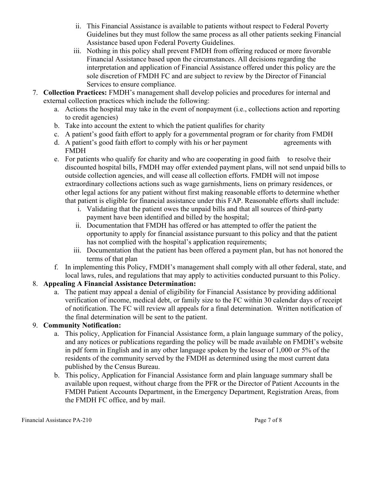- ii. This Financial Assistance is available to patients without respect to Federal Poverty Guidelines but they must follow the same process as all other patients seeking Financial Assistance based upon Federal Poverty Guidelines.
- iii. Nothing in this policy shall prevent FMDH from offering reduced or more favorable Financial Assistance based upon the circumstances. All decisions regarding the interpretation and application of Financial Assistance offered under this policy are the sole discretion of FMDH FC and are subject to review by the Director of Financial Services to ensure compliance.
- 7. **Collection Practices:** FMDH's management shall develop policies and procedures for internal and external collection practices which include the following:
	- a. Actions the hospital may take in the event of nonpayment (i.e., collections action and reporting to credit agencies)
	- b. Take into account the extent to which the patient qualifies for charity
	- c. A patient's good faith effort to apply for a governmental program or for charity from FMDH
	- d. A patient's good faith effort to comply with his or her payment agreements with FMDH
	- e. For patients who qualify for charity and who are cooperating in good faith to resolve their discounted hospital bills, FMDH may offer extended payment plans, will not send unpaid bills to outside collection agencies, and will cease all collection efforts. FMDH will not impose extraordinary collections actions such as wage garnishments, liens on primary residences, or other legal actions for any patient without first making reasonable efforts to determine whether that patient is eligible for financial assistance under this FAP. Reasonable efforts shall include:
		- i. Validating that the patient owes the unpaid bills and that all sources of third-party payment have been identified and billed by the hospital;
		- ii. Documentation that FMDH has offered or has attempted to offer the patient the opportunity to apply for financial assistance pursuant to this policy and that the patient has not complied with the hospital's application requirements;
		- iii. Documentation that the patient has been offered a payment plan, but has not honored the terms of that plan
	- f. In implementing this Policy, FMDH's management shall comply with all other federal, state, and local laws, rules, and regulations that may apply to activities conducted pursuant to this Policy.

# 8. **Appealing A Financial Assistance Determination:**

a. The patient may appeal a denial of eligibility for Financial Assistance by providing additional verification of income, medical debt, or family size to the FC within 30 calendar days of receipt of notification. The FC will review all appeals for a final determination. Written notification of the final determination will be sent to the patient.

# 9. **Community Notification:**

- a. This policy, Application for Financial Assistance form, a plain language summary of the policy, and any notices or publications regarding the policy will be made available on FMDH's website in pdf form in English and in any other language spoken by the lesser of 1,000 or 5% of the residents of the community served by the FMDH as determined using the most current data published by the Census Bureau.
- b. This policy, Application for Financial Assistance form and plain language summary shall be available upon request, without charge from the PFR or the Director of Patient Accounts in the FMDH Patient Accounts Department, in the Emergency Department, Registration Areas, from the FMDH FC office, and by mail.